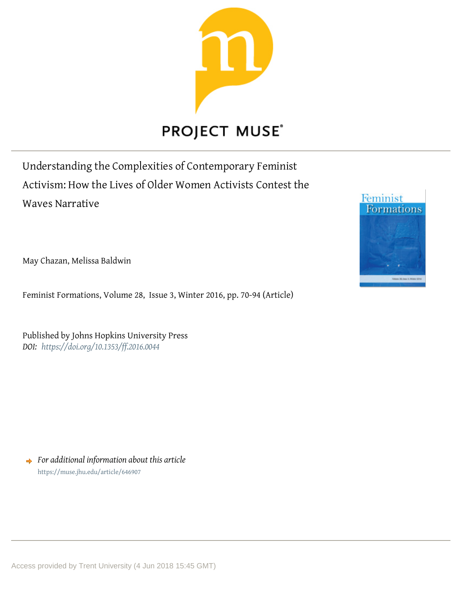

# **PROJECT MUSE®**

Understanding the Complexities of Contemporary Feminist Activism: How the Lives of Older Women Activists Contest the Waves Narrative

May Chazan, Melissa Baldwin

Feminist Formations, Volume 28, Issue 3, Winter 2016, pp. 70-94 (Article)

Published by Johns Hopkins University Press *DOI: <https://doi.org/10.1353/ff.2016.0044>*

*For additional information about this article* <https://muse.jhu.edu/article/646907>

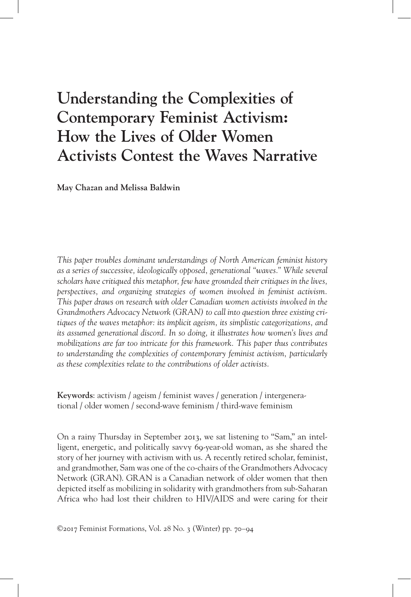# **Understanding the Complexities of Contemporary Feminist Activism: How the Lives of Older Women Activists Contest the Waves Narrative**

**May Chazan and Melissa Baldwin**

*This paper troubles dominant understandings of North American feminist history as a series of successive, ideologically opposed, generational "waves." While several scholars have critiqued this metaphor, few have grounded their critiques in the lives, perspectives, and organizing strategies of women involved in feminist activism. This paper draws on research with older Canadian women activists involved in the Grandmothers Advocacy Network (GRAN) to call into question three existing critiques of the waves metaphor: its implicit ageism, its simplistic categorizations, and its assumed generational discord. In so doing, it illustrates how women's lives and mobilizations are far too intricate for this framework. This paper thus contributes to understanding the complexities of contemporary feminist activism, particularly as these complexities relate to the contributions of older activists.*

**Keywords**: activism / ageism / feminist waves / generation / intergenerational / older women / second-wave feminism / third-wave feminism

On a rainy Thursday in September 2013, we sat listening to "Sam," an intelligent, energetic, and politically savvy 69-year-old woman, as she shared the story of her journey with activism with us. A recently retired scholar, feminist, and grandmother, Sam was one of the co-chairs of the Grandmothers Advocacy Network (GRAN). GRAN is a Canadian network of older women that then depicted itself as mobilizing in solidarity with grandmothers from sub-Saharan Africa who had lost their children to HIV/AIDS and were caring for their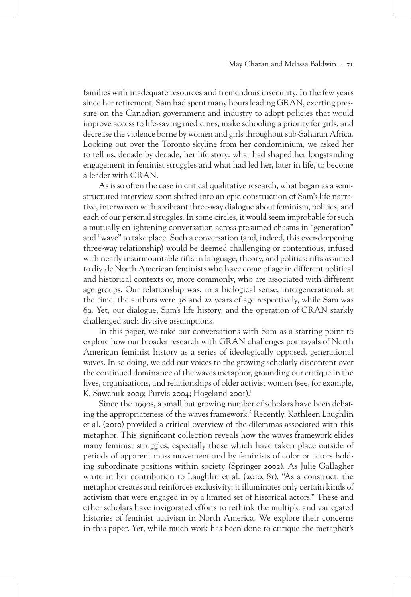families with inadequate resources and tremendous insecurity. In the few years since her retirement, Sam had spent many hours leading GRAN, exerting pressure on the Canadian government and industry to adopt policies that would improve access to life-saving medicines, make schooling a priority for girls, and decrease the violence borne by women and girls throughout sub-Saharan Africa. Looking out over the Toronto skyline from her condominium, we asked her to tell us, decade by decade, her life story: what had shaped her longstanding engagement in feminist struggles and what had led her, later in life, to become a leader with GRAN.

As is so often the case in critical qualitative research, what began as a semistructured interview soon shifted into an epic construction of Sam's life narrative, interwoven with a vibrant three-way dialogue about feminism, politics, and each of our personal struggles. In some circles, it would seem improbable for such a mutually enlightening conversation across presumed chasms in "generation" and "wave" to take place. Such a conversation (and, indeed, this ever-deepening three-way relationship) would be deemed challenging or contentious, infused with nearly insurmountable rifts in language, theory, and politics: rifts assumed to divide North American feminists who have come of age in different political and historical contexts or, more commonly, who are associated with different age groups. Our relationship was, in a biological sense, intergenerational: at the time, the authors were 38 and 22 years of age respectively, while Sam was 69. Yet, our dialogue, Sam's life history, and the operation of GRAN starkly challenged such divisive assumptions.

In this paper, we take our conversations with Sam as a starting point to explore how our broader research with GRAN challenges portrayals of North American feminist history as a series of ideologically opposed, generational waves. In so doing, we add our voices to the growing scholarly discontent over the continued dominance of the waves metaphor, grounding our critique in the lives, organizations, and relationships of older activist women (see, for example, K. Sawchuk 2009; Purvis 2004; Hogeland 2001).<sup>1</sup>

Since the 1990s, a small but growing number of scholars have been debating the appropriateness of the waves framework.2 Recently, Kathleen Laughlin et al. (2010) provided a critical overview of the dilemmas associated with this metaphor. This significant collection reveals how the waves framework elides many feminist struggles, especially those which have taken place outside of periods of apparent mass movement and by feminists of color or actors holding subordinate positions within society (Springer 2002). As Julie Gallagher wrote in her contribution to Laughlin et al. (2010, 81), "As a construct, the metaphor creates and reinforces exclusivity; it illuminates only certain kinds of activism that were engaged in by a limited set of historical actors." These and other scholars have invigorated efforts to rethink the multiple and variegated histories of feminist activism in North America. We explore their concerns in this paper. Yet, while much work has been done to critique the metaphor's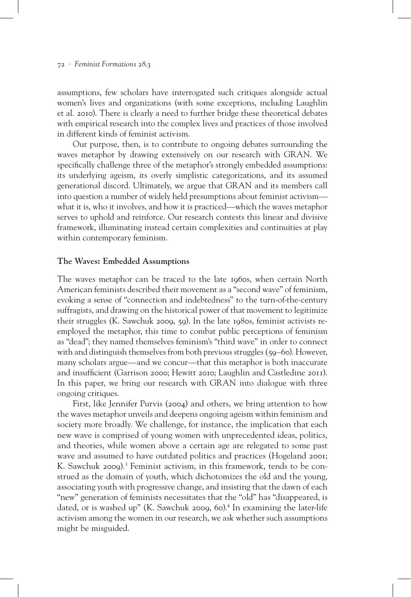assumptions, few scholars have interrogated such critiques alongside actual women's lives and organizations (with some exceptions, including Laughlin et al. 2010). There is clearly a need to further bridge these theoretical debates with empirical research into the complex lives and practices of those involved in different kinds of feminist activism.

Our purpose, then, is to contribute to ongoing debates surrounding the waves metaphor by drawing extensively on our research with GRAN. We specifically challenge three of the metaphor's strongly embedded assumptions: its underlying ageism, its overly simplistic categorizations, and its assumed generational discord. Ultimately, we argue that GRAN and its members call into question a number of widely held presumptions about feminist activism what it is, who it involves, and how it is practiced—which the waves metaphor serves to uphold and reinforce. Our research contests this linear and divisive framework, illuminating instead certain complexities and continuities at play within contemporary feminism.

# **The Waves: Embedded Assumptions**

The waves metaphor can be traced to the late 1960s, when certain North American feminists described their movement as a "second wave" of feminism, evoking a sense of "connection and indebtedness" to the turn-of-the-century suffragists, and drawing on the historical power of that movement to legitimize their struggles (K. Sawchuk 2009, 59). In the late 1980s, feminist activists reemployed the metaphor, this time to combat public perceptions of feminism as "dead"; they named themselves feminism's "third wave" in order to connect with and distinguish themselves from both previous struggles (59–60). However, many scholars argue—and we concur—that this metaphor is both inaccurate and insufficient (Garrison 2000; Hewitt 2010; Laughlin and Castledine 2011). In this paper, we bring our research with GRAN into dialogue with three ongoing critiques.

First, like Jennifer Purvis (2004) and others, we bring attention to how the waves metaphor unveils and deepens ongoing ageism within feminism and society more broadly. We challenge, for instance, the implication that each new wave is comprised of young women with unprecedented ideas, politics, and theories, while women above a certain age are relegated to some past wave and assumed to have outdated politics and practices (Hogeland 2001; K. Sawchuk 2009).<sup>3</sup> Feminist activism, in this framework, tends to be construed as the domain of youth, which dichotomizes the old and the young, associating youth with progressive change, and insisting that the dawn of each "new" generation of feminists necessitates that the "old" has "disappeared, is dated, or is washed up" (K. Sawchuk 2009, 60).<sup>4</sup> In examining the later-life activism among the women in our research, we ask whether such assumptions might be misguided.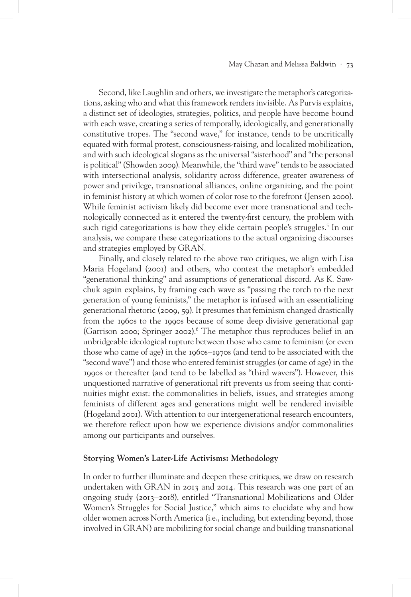Second, like Laughlin and others, we investigate the metaphor's categorizations, asking who and what this framework renders invisible. As Purvis explains, a distinct set of ideologies, strategies, politics, and people have become bound with each wave, creating a series of temporally, ideologically, and generationally constitutive tropes. The "second wave," for instance, tends to be uncritically equated with formal protest, consciousness-raising, and localized mobilization, and with such ideological slogans as the universal "sisterhood" and "the personal is political" (Showden 2009). Meanwhile, the "third wave" tends to be associated with intersectional analysis, solidarity across difference, greater awareness of power and privilege, transnational alliances, online organizing, and the point in feminist history at which women of color rose to the forefront (Jensen 2000). While feminist activism likely did become ever more transnational and technologically connected as it entered the twenty-first century, the problem with such rigid categorizations is how they elide certain people's struggles.<sup>5</sup> In our analysis, we compare these categorizations to the actual organizing discourses and strategies employed by GRAN.

Finally, and closely related to the above two critiques, we align with Lisa Maria Hogeland (2001) and others, who contest the metaphor's embedded "generational thinking" and assumptions of generational discord. As K. Sawchuk again explains, by framing each wave as "passing the torch to the next generation of young feminists," the metaphor is infused with an essentializing generational rhetoric (2009, 59). It presumes that feminism changed drastically from the 1960s to the 1990s because of some deep divisive generational gap (Garrison 2000; Springer 2002).<sup>6</sup> The metaphor thus reproduces belief in an unbridgeable ideological rupture between those who came to feminism (or even those who came of age) in the 1960s–1970s (and tend to be associated with the "second wave") and those who entered feminist struggles (or came of age) in the 1990s or thereafter (and tend to be labelled as "third wavers"). However, this unquestioned narrative of generational rift prevents us from seeing that continuities might exist: the commonalities in beliefs, issues, and strategies among feminists of different ages and generations might well be rendered invisible (Hogeland 2001). With attention to our intergenerational research encounters, we therefore reflect upon how we experience divisions and/or commonalities among our participants and ourselves.

### **Storying Women's Later-Life Activisms: Methodology**

In order to further illuminate and deepen these critiques, we draw on research undertaken with GRAN in 2013 and 2014. This research was one part of an ongoing study (2013–2018), entitled "Transnational Mobilizations and Older Women's Struggles for Social Justice," which aims to elucidate why and how older women across North America (i.e., including, but extending beyond, those involved in GRAN) are mobilizing for social change and building transnational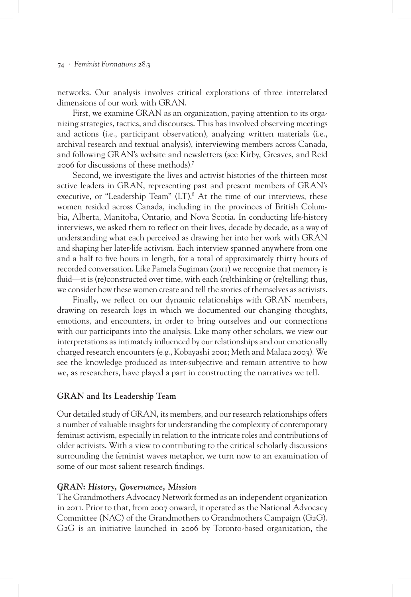networks. Our analysis involves critical explorations of three interrelated dimensions of our work with GRAN.

First, we examine GRAN as an organization, paying attention to its organizing strategies, tactics, and discourses. This has involved observing meetings and actions (i.e., participant observation), analyzing written materials (i.e., archival research and textual analysis), interviewing members across Canada, and following GRAN's website and newsletters (see Kirby, Greaves, and Reid 2006 for discussions of these methods).7

Second, we investigate the lives and activist histories of the thirteen most active leaders in GRAN, representing past and present members of GRAN's executive, or "Leadership Team" (LT).<sup>8</sup> At the time of our interviews, these women resided across Canada, including in the provinces of British Columbia, Alberta, Manitoba, Ontario, and Nova Scotia. In conducting life-history interviews, we asked them to reflect on their lives, decade by decade, as a way of understanding what each perceived as drawing her into her work with GRAN and shaping her later-life activism. Each interview spanned anywhere from one and a half to five hours in length, for a total of approximately thirty hours of recorded conversation. Like Pamela Sugiman (2011) we recognize that memory is fluid—it is (re)constructed over time, with each (re)thinking or (re)telling; thus, we consider how these women create and tell the stories of themselves as activists.

Finally, we reflect on our dynamic relationships with GRAN members, drawing on research logs in which we documented our changing thoughts, emotions, and encounters, in order to bring ourselves and our connections with our participants into the analysis. Like many other scholars, we view our interpretations as intimately influenced by our relationships and our emotionally charged research encounters (e.g., Kobayashi 2001; Meth and Malaza 2003). We see the knowledge produced as inter-subjective and remain attentive to how we, as researchers, have played a part in constructing the narratives we tell.

# **GRAN and Its Leadership Team**

Our detailed study of GRAN, its members, and our research relationships offers a number of valuable insights for understanding the complexity of contemporary feminist activism, especially in relation to the intricate roles and contributions of older activists. With a view to contributing to the critical scholarly discussions surrounding the feminist waves metaphor, we turn now to an examination of some of our most salient research findings.

#### *GRAN: History, Governance, Mission*

The Grandmothers Advocacy Network formed as an independent organization in 2011. Prior to that, from 2007 onward, it operated as the National Advocacy Committee (NAC) of the Grandmothers to Grandmothers Campaign (G2G). G2G is an initiative launched in 2006 by Toronto-based organization, the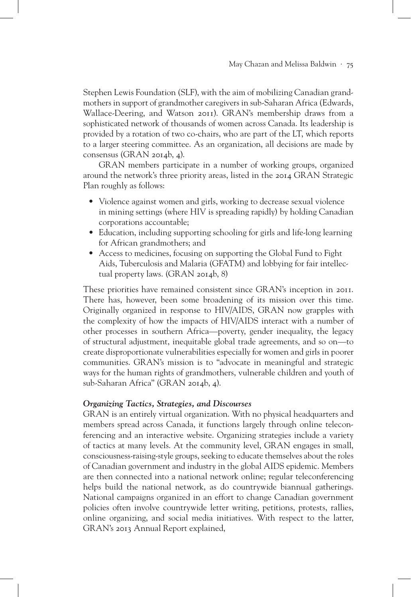Stephen Lewis Foundation (SLF), with the aim of mobilizing Canadian grandmothers in support of grandmother caregivers in sub-Saharan Africa (Edwards, Wallace-Deering, and Watson 2011). GRAN's membership draws from a sophisticated network of thousands of women across Canada. Its leadership is provided by a rotation of two co-chairs, who are part of the LT, which reports to a larger steering committee. As an organization, all decisions are made by consensus (GRAN 2014b, 4).

GRAN members participate in a number of working groups, organized around the network's three priority areas, listed in the 2014 GRAN Strategic Plan roughly as follows:

- Violence against women and girls, working to decrease sexual violence in mining settings (where HIV is spreading rapidly) by holding Canadian corporations accountable;
- Education, including supporting schooling for girls and life-long learning for African grandmothers; and
- Access to medicines, focusing on supporting the Global Fund to Fight Aids, Tuberculosis and Malaria (GFATM) and lobbying for fair intellectual property laws. (GRAN 2014b, 8)

These priorities have remained consistent since GRAN's inception in 2011. There has, however, been some broadening of its mission over this time. Originally organized in response to HIV/AIDS, GRAN now grapples with the complexity of how the impacts of HIV/AIDS interact with a number of other processes in southern Africa—poverty, gender inequality, the legacy of structural adjustment, inequitable global trade agreements, and so on—to create disproportionate vulnerabilities especially for women and girls in poorer communities. GRAN's mission is to "advocate in meaningful and strategic ways for the human rights of grandmothers, vulnerable children and youth of sub-Saharan Africa" (GRAN 2014b, 4).

# *Organizing Tactics, Strategies, and Discourses*

GRAN is an entirely virtual organization. With no physical headquarters and members spread across Canada, it functions largely through online teleconferencing and an interactive website. Organizing strategies include a variety of tactics at many levels. At the community level, GRAN engages in small, consciousness-raising-style groups, seeking to educate themselves about the roles of Canadian government and industry in the global AIDS epidemic. Members are then connected into a national network online; regular teleconferencing helps build the national network, as do countrywide biannual gatherings. National campaigns organized in an effort to change Canadian government policies often involve countrywide letter writing, petitions, protests, rallies, online organizing, and social media initiatives. With respect to the latter, GRAN's 2013 Annual Report explained,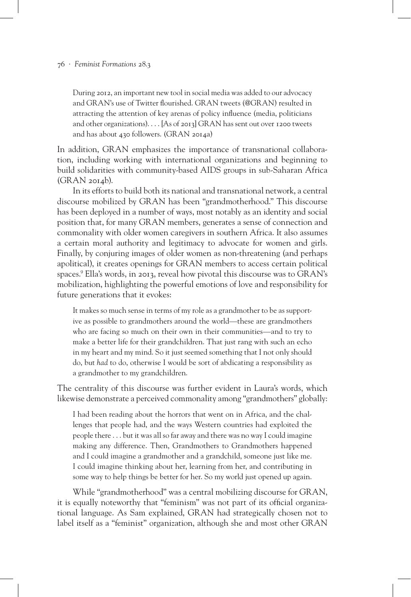During 2012, an important new tool in social media was added to our advocacy and GRAN's use of Twitter flourished. GRAN tweets (@GRAN) resulted in attracting the attention of key arenas of policy influence (media, politicians and other organizations). . . . [As of 2013] GRAN has sent out over 1200 tweets and has about 430 followers. (GRAN 2014a)

In addition, GRAN emphasizes the importance of transnational collaboration, including working with international organizations and beginning to build solidarities with community-based AIDS groups in sub-Saharan Africa (GRAN 2014b).

In its efforts to build both its national and transnational network, a central discourse mobilized by GRAN has been "grandmotherhood." This discourse has been deployed in a number of ways, most notably as an identity and social position that, for many GRAN members, generates a sense of connection and commonality with older women caregivers in southern Africa. It also assumes a certain moral authority and legitimacy to advocate for women and girls. Finally, by conjuring images of older women as non-threatening (and perhaps apolitical), it creates openings for GRAN members to access certain political spaces.9 Ella's words, in 2013, reveal how pivotal this discourse was to GRAN's mobilization, highlighting the powerful emotions of love and responsibility for future generations that it evokes:

It makes so much sense in terms of my role as a grandmother to be as supportive as possible to grandmothers around the world—these are grandmothers who are facing so much on their own in their communities—and to try to make a better life for their grandchildren. That just rang with such an echo in my heart and my mind. So it just seemed something that I not only should do, but *had* to do, otherwise I would be sort of abdicating a responsibility as a grandmother to my grandchildren.

The centrality of this discourse was further evident in Laura's words, which likewise demonstrate a perceived commonality among "grandmothers" globally:

I had been reading about the horrors that went on in Africa, and the challenges that people had, and the ways Western countries had exploited the people there . . . but it was all so far away and there was no way I could imagine making any difference. Then, Grandmothers to Grandmothers happened and I could imagine a grandmother and a grandchild, someone just like me. I could imagine thinking about her, learning from her, and contributing in some way to help things be better for her. So my world just opened up again.

While "grandmotherhood" was a central mobilizing discourse for GRAN, it is equally noteworthy that "feminism" was not part of its official organizational language. As Sam explained, GRAN had strategically chosen not to label itself as a "feminist" organization, although she and most other GRAN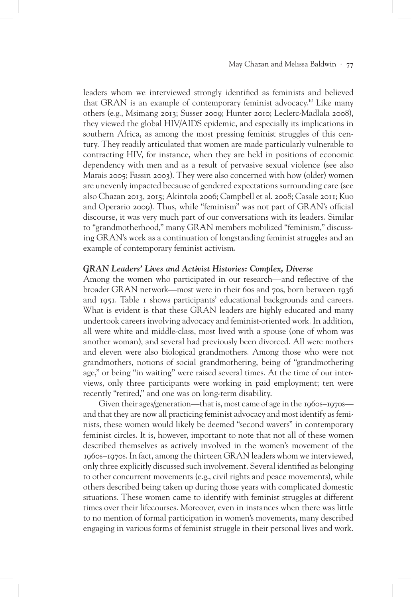leaders whom we interviewed strongly identified as feminists and believed that GRAN is an example of contemporary feminist advocacy.10 Like many others (e.g., Msimang 2013; Susser 2009; Hunter 2010; Leclerc-Madlala 2008), they viewed the global HIV/AIDS epidemic, and especially its implications in southern Africa, as among the most pressing feminist struggles of this century. They readily articulated that women are made particularly vulnerable to contracting HIV, for instance, when they are held in positions of economic dependency with men and as a result of pervasive sexual violence (see also Marais 2005; Fassin 2003). They were also concerned with how (older) women are unevenly impacted because of gendered expectations surrounding care (see also Chazan 2013, 2015; Akintola 2006; Campbell et al. 2008; Casale 2011; Kuo and Operario 2009). Thus, while "feminism" was not part of GRAN's official discourse, it was very much part of our conversations with its leaders. Similar to "grandmotherhood," many GRAN members mobilized "feminism," discussing GRAN's work as a continuation of longstanding feminist struggles and an example of contemporary feminist activism.

# *GRAN Leaders' Lives and Activist Histories: Complex, Diverse*

Among the women who participated in our research—and reflective of the broader GRAN network—most were in their 60s and 70s, born between 1936 and 1951. Table 1 shows participants' educational backgrounds and careers. What is evident is that these GRAN leaders are highly educated and many undertook careers involving advocacy and feminist-oriented work. In addition, all were white and middle-class, most lived with a spouse (one of whom was another woman), and several had previously been divorced. All were mothers and eleven were also biological grandmothers. Among those who were not grandmothers, notions of social grandmothering, being of "grandmothering age," or being "in waiting" were raised several times. At the time of our interviews, only three participants were working in paid employment; ten were recently "retired," and one was on long-term disability.

Given their ages/generation—that is, most came of age in the 1960s–1970s and that they are now all practicing feminist advocacy and most identify as feminists, these women would likely be deemed "second wavers" in contemporary feminist circles. It is, however, important to note that not all of these women described themselves as actively involved in the women's movement of the 1960s–1970s. In fact, among the thirteen GRAN leaders whom we interviewed, only three explicitly discussed such involvement. Several identified as belonging to other concurrent movements (e.g., civil rights and peace movements), while others described being taken up during those years with complicated domestic situations. These women came to identify with feminist struggles at different times over their lifecourses. Moreover, even in instances when there was little to no mention of formal participation in women's movements, many described engaging in various forms of feminist struggle in their personal lives and work.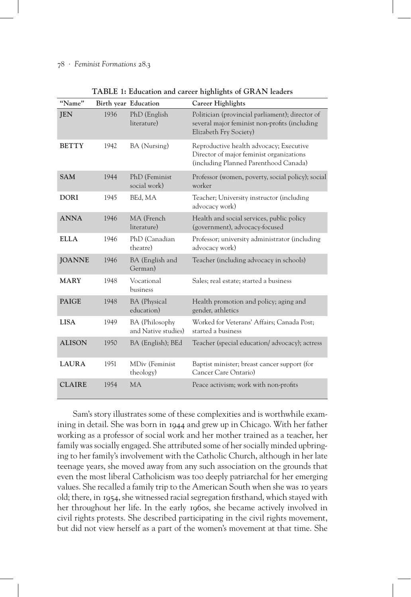| "Name"        | Birth year Education |                                       | Career Highlights                                                                                                            |
|---------------|----------------------|---------------------------------------|------------------------------------------------------------------------------------------------------------------------------|
| <b>JEN</b>    | 1936                 | PhD (English<br>literature)           | Politician (provincial parliament); director of<br>several major feminist non-profits (including<br>Elizabeth Fry Society)   |
| <b>BETTY</b>  | 1942                 | BA (Nursing)                          | Reproductive health advocacy; Executive<br>Director of major feminist organizations<br>(including Planned Parenthood Canada) |
| <b>SAM</b>    | 1944                 | PhD (Feminist<br>social work)         | Professor (women, poverty, social policy); social<br>worker                                                                  |
| <b>DORI</b>   | 1945                 | BEd, MA                               | Teacher; University instructor (including<br>advocacy work)                                                                  |
| <b>ANNA</b>   | 1946                 | MA (French<br>literature)             | Health and social services, public policy<br>(government), advocacy-focused                                                  |
| <b>ELLA</b>   | 1946                 | PhD (Canadian<br>theatre)             | Professor; university administrator (including<br>advocacy work)                                                             |
| <b>JOANNE</b> | 1946                 | BA (English and<br>German)            | Teacher (including advocacy in schools)                                                                                      |
| <b>MARY</b>   | 1948                 | Vocational<br>business                | Sales; real estate; started a business                                                                                       |
| <b>PAIGE</b>  | 1948                 | <b>BA</b> (Physical<br>education)     | Health promotion and policy; aging and<br>gender, athletics                                                                  |
| <b>LISA</b>   | 1949                 | BA (Philosophy<br>and Native studies) | Worked for Veterans' Affairs; Canada Post;<br>started a business                                                             |
| <b>ALISON</b> | 1950                 | BA (English); BEd                     | Teacher (special education/advocacy); actress                                                                                |
| <b>LAURA</b>  | 1951                 | MDiv (Feminist<br>theology)           | Baptist minister; breast cancer support (for<br>Cancer Care Ontario)                                                         |
| <b>CLAIRE</b> | 1954                 | <b>MA</b>                             | Peace activism; work with non-profits                                                                                        |

**TABLE 1: Education and career highlights of GRAN leaders**

Sam's story illustrates some of these complexities and is worthwhile examining in detail. She was born in 1944 and grew up in Chicago. With her father working as a professor of social work and her mother trained as a teacher, her family was socially engaged. She attributed some of her socially minded upbringing to her family's involvement with the Catholic Church, although in her late teenage years, she moved away from any such association on the grounds that even the most liberal Catholicism was too deeply patriarchal for her emerging values. She recalled a family trip to the American South when she was 10 years old; there, in 1954, she witnessed racial segregation firsthand, which stayed with her throughout her life. In the early 1960s, she became actively involved in civil rights protests. She described participating in the civil rights movement, but did not view herself as a part of the women's movement at that time. She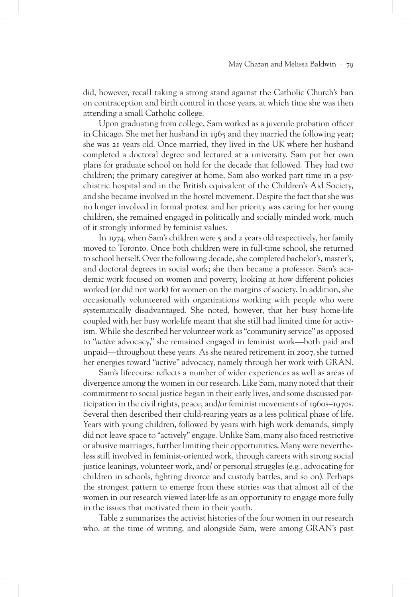did, however, recall taking a strong stand against the Catholic Church's ban on contraception and birth control in those years, at which time she was then attending a small Catholic college.

Upon graduating from college, Sam worked as a juvenile probation officer in Chicago. She met her husband in 1965 and they married the following year; she was 21 years old. Once married, they lived in the UK where her husband completed a doctoral degree and lectured at a university. Sam put her own plans for graduate school on hold for the decade that followed. They had two children; the primary caregiver at home, Sam also worked part time in a psychiatric hospital and in the British equivalent of the Children's Aid Society, and she became involved in the hostel movement. Despite the fact that she was no longer involved in formal protest and her priority was caring for her young children, she remained engaged in politically and socially minded work, much of it strongly informed by feminist values.

In 1974, when Sam's children were 5 and 2 years old respectively, her family moved to Toronto. Once both children were in full-time school, she returned to school herself. Over the following decade, she completed bachelor's, master's, and doctoral degrees in social work; she then became a professor. Sam's academic work focused on women and poverty, looking at how different policies worked (or did not work) for women on the margins of society. In addition, she occasionally volunteered with organizations working with people who were systematically disadvantaged. She noted, however, that her busy home-life coupled with her busy work-life meant that she still had limited time for activism. While she described her volunteer work as "community service" as opposed to "*active* advocacy," she remained engaged in feminist work—both paid and unpaid—throughout these years. As she neared retirement in 2007, she turned her energies toward "active" advocacy, namely through her work with GRAN.

Sam's lifecourse reflects a number of wider experiences as well as areas of divergence among the women in our research. Like Sam, many noted that their commitment to social justice began in their early lives, and some discussed participation in the civil rights, peace, and/or feminist movements of 1960s–1970s. Several then described their child-rearing years as a less political phase of life. Years with young children, followed by years with high work demands, simply did not leave space to "actively" engage. Unlike Sam, many also faced restrictive or abusive marriages, further limiting their opportunities. Many were nevertheless still involved in feminist-oriented work, through careers with strong social justice leanings, volunteer work, and/ or personal struggles (e.g., advocating for children in schools, fighting divorce and custody battles, and so on). Perhaps the strongest pattern to emerge from these stories was that almost all of the women in our research viewed later-life as an opportunity to engage more fully in the issues that motivated them in their youth.

Table 2 summarizes the activist histories of the four women in our research who, at the time of writing, and alongside Sam, were among GRAN's past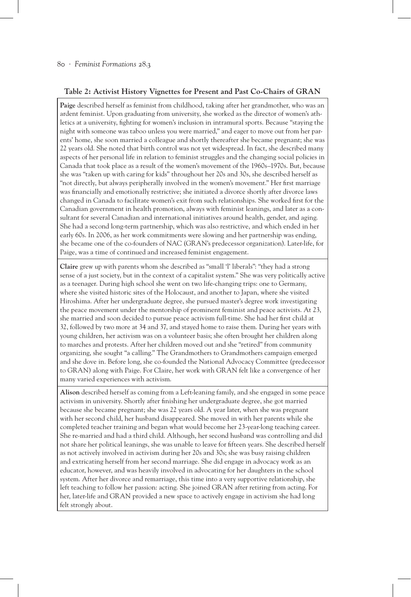# **Table 2: Activist History Vignettes for Present and Past Co-Chairs of GRAN**

**Paige** described herself as feminist from childhood, taking after her grandmother, who was an ardent feminist. Upon graduating from university, she worked as the director of women's athletics at a university, fighting for women's inclusion in intramural sports. Because "staying the night with someone was taboo unless you were married," and eager to move out from her parents' home, she soon married a colleague and shortly thereafter she became pregnant; she was 22 years old. She noted that birth control was not yet widespread. In fact, she described many aspects of her personal life in relation to feminist struggles and the changing social policies in Canada that took place as a result of the women's movement of the 1960s–1970s. But, because she was "taken up with caring for kids" throughout her 20s and 30s, she described herself as "not directly, but always peripherally involved in the women's movement." Her first marriage was financially and emotionally restrictive; she initiated a divorce shortly after divorce laws changed in Canada to facilitate women's exit from such relationships. She worked first for the Canadian government in health promotion, always with feminist leanings, and later as a consultant for several Canadian and international initiatives around health, gender, and aging. She had a second long-term partnership, which was also restrictive, and which ended in her early 60s. In 2006, as her work commitments were slowing and her partnership was ending, she became one of the co-founders of NAC (GRAN's predecessor organization). Later-life, for Paige, was a time of continued and increased feminist engagement.

**Claire** grew up with parents whom she described as "small 'l' liberals": "they had a strong sense of a just society, but in the context of a capitalist system." She was very politically active as a teenager. During high school she went on two life-changing trips: one to Germany, where she visited historic sites of the Holocaust, and another to Japan, where she visited Hiroshima. After her undergraduate degree, she pursued master's degree work investigating the peace movement under the mentorship of prominent feminist and peace activists. At 23, she married and soon decided to pursue peace activism full-time. She had her first child at 32, followed by two more at 34 and 37, and stayed home to raise them. During her years with young children, her activism was on a volunteer basis; she often brought her children along to marches and protests. After her children moved out and she "retired" from community organizing, she sought "a calling." The Grandmothers to Grandmothers campaign emerged and she dove in. Before long, she co-founded the National Advocacy Committee (predecessor to GRAN) along with Paige. For Claire, her work with GRAN felt like a convergence of her many varied experiences with activism.

**Alison** described herself as coming from a Left-leaning family, and she engaged in some peace activism in university. Shortly after finishing her undergraduate degree, she got married because she became pregnant; she was 22 years old. A year later, when she was pregnant with her second child, her husband disappeared. She moved in with her parents while she completed teacher training and began what would become her 23-year-long teaching career. She re-married and had a third child. Although, her second husband was controlling and did not share her political leanings, she was unable to leave for fifteen years. She described herself as not actively involved in activism during her 20s and 30s; she was busy raising children and extricating herself from her second marriage. She did engage in advocacy work as an educator, however, and was heavily involved in advocating for her daughters in the school system. After her divorce and remarriage, this time into a very supportive relationship, she left teaching to follow her passion: acting. She joined GRAN after retiring from acting. For her, later-life and GRAN provided a new space to actively engage in activism she had long felt strongly about.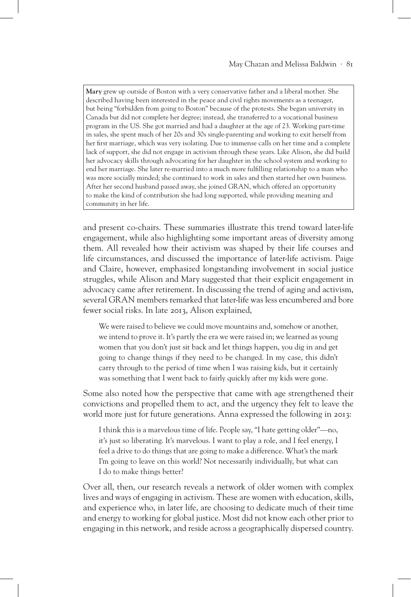**Mary** grew up outside of Boston with a very conservative father and a liberal mother. She described having been interested in the peace and civil rights movements as a teenager, but being "forbidden from going to Boston" because of the protests. She began university in Canada but did not complete her degree; instead, she transferred to a vocational business program in the US. She got married and had a daughter at the age of 23. Working part-time in sales, she spent much of her 20s and 30s single-parenting and working to exit herself from her first marriage, which was very isolating. Due to immense calls on her time and a complete lack of support, she did not engage in activism through these years. Like Alison, she did build her advocacy skills through advocating for her daughter in the school system and working to end her marriage. She later re-married into a much more fulfilling relationship to a man who was more socially minded; she continued to work in sales and then started her own business. After her second husband passed away, she joined GRAN, which offered an opportunity to make the kind of contribution she had long supported, while providing meaning and community in her life.

and present co-chairs. These summaries illustrate this trend toward later-life engagement, while also highlighting some important areas of diversity among them. All revealed how their activism was shaped by their life courses and life circumstances, and discussed the importance of later-life activism. Paige and Claire, however, emphasized longstanding involvement in social justice struggles, while Alison and Mary suggested that their explicit engagement in advocacy came after retirement. In discussing the trend of aging and activism, several GRAN members remarked that later-life was less encumbered and bore fewer social risks. In late 2013, Alison explained,

We were raised to believe we could move mountains and, somehow or another, we intend to prove it. It's partly the era we were raised in; we learned as young women that you don't just sit back and let things happen, you dig in and get going to change things if they need to be changed. In my case, this didn't carry through to the period of time when I was raising kids, but it certainly was something that I went back to fairly quickly after my kids were gone.

Some also noted how the perspective that came with age strengthened their convictions and propelled them to act, and the urgency they felt to leave the world more just for future generations. Anna expressed the following in 2013:

I think this is a marvelous time of life. People say, "I hate getting older"—no, it's just so liberating. It's marvelous. I want to play a role, and I feel energy, I feel a drive to do things that are going to make a difference. What's the mark I'm going to leave on this world? Not necessarily individually, but what can I do to make things better?

Over all, then, our research reveals a network of older women with complex lives and ways of engaging in activism. These are women with education, skills, and experience who, in later life, are choosing to dedicate much of their time and energy to working for global justice. Most did not know each other prior to engaging in this network, and reside across a geographically dispersed country.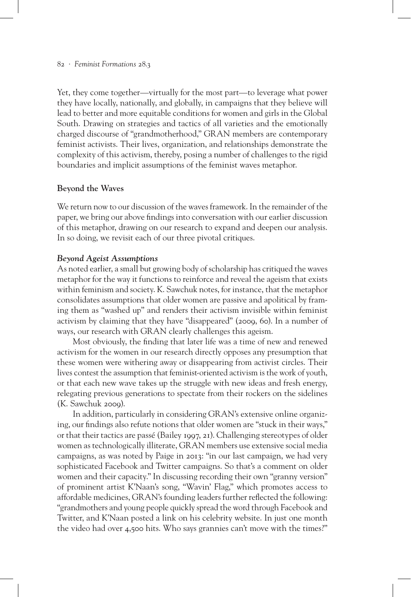Yet, they come together—virtually for the most part—to leverage what power they have locally, nationally, and globally, in campaigns that they believe will lead to better and more equitable conditions for women and girls in the Global South. Drawing on strategies and tactics of all varieties and the emotionally charged discourse of "grandmotherhood," GRAN members are contemporary feminist activists. Their lives, organization, and relationships demonstrate the complexity of this activism, thereby, posing a number of challenges to the rigid boundaries and implicit assumptions of the feminist waves metaphor.

# **Beyond the Waves**

We return now to our discussion of the waves framework. In the remainder of the paper, we bring our above findings into conversation with our earlier discussion of this metaphor, drawing on our research to expand and deepen our analysis. In so doing, we revisit each of our three pivotal critiques.

# *Beyond Ageist Assumptions*

As noted earlier, a small but growing body of scholarship has critiqued the waves metaphor for the way it functions to reinforce and reveal the ageism that exists within feminism and society. K. Sawchuk notes, for instance, that the metaphor consolidates assumptions that older women are passive and apolitical by framing them as "washed up" and renders their activism invisible within feminist activism by claiming that they have "disappeared" (2009, 60). In a number of ways, our research with GRAN clearly challenges this ageism.

Most obviously, the finding that later life was a time of new and renewed activism for the women in our research directly opposes any presumption that these women were withering away or disappearing from activist circles. Their lives contest the assumption that feminist-oriented activism is the work of youth, or that each new wave takes up the struggle with new ideas and fresh energy, relegating previous generations to spectate from their rockers on the sidelines (K. Sawchuk 2009).

In addition, particularly in considering GRAN's extensive online organizing, our findings also refute notions that older women are "stuck in their ways," or that their tactics are passé (Bailey 1997, 21). Challenging stereotypes of older women as technologically illiterate, GRAN members use extensive social media campaigns, as was noted by Paige in 2013: "in our last campaign, we had very sophisticated Facebook and Twitter campaigns. So that's a comment on older women and their capacity." In discussing recording their own "granny version" of prominent artist K'Naan's song, "Wavin' Flag," which promotes access to affordable medicines, GRAN's founding leaders further reflected the following: "grandmothers and young people quickly spread the word through Facebook and Twitter, and K'Naan posted a link on his celebrity website. In just one month the video had over 4,500 hits. Who says grannies can't move with the times?"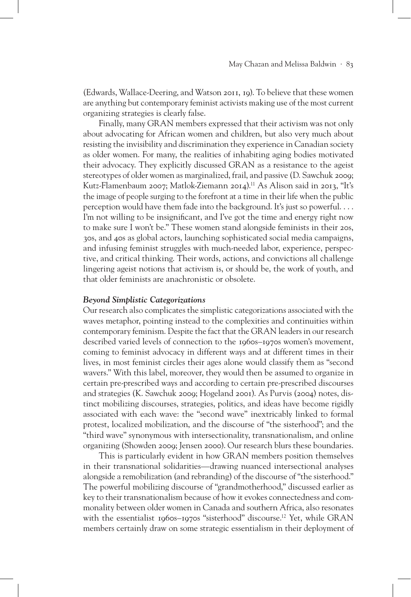(Edwards, Wallace-Deering, and Watson 2011, 19). To believe that these women are anything but contemporary feminist activists making use of the most current organizing strategies is clearly false.

Finally, many GRAN members expressed that their activism was not only about advocating for African women and children, but also very much about resisting the invisibility and discrimination they experience in Canadian society as older women. For many, the realities of inhabiting aging bodies motivated their advocacy. They explicitly discussed GRAN as a resistance to the ageist stereotypes of older women as marginalized, frail, and passive (D. Sawchuk 2009; Kutz-Flamenbaum 2007; Matlok-Ziemann 2014).<sup>11</sup> As Alison said in 2013, "It's the image of people surging to the forefront at a time in their life when the public perception would have them fade into the background. It's just so powerful. . . . I'm not willing to be insignificant, and I've got the time and energy right now to make sure I won't be." These women stand alongside feminists in their 20s, 30s, and 40s as global actors, launching sophisticated social media campaigns, and infusing feminist struggles with much-needed labor, experience, perspective, and critical thinking. Their words, actions, and convictions all challenge lingering ageist notions that activism is, or should be, the work of youth, and that older feminists are anachronistic or obsolete.

#### *Beyond Simplistic Categorizations*

Our research also complicates the simplistic categorizations associated with the waves metaphor, pointing instead to the complexities and continuities within contemporary feminism. Despite the fact that the GRAN leaders in our research described varied levels of connection to the 1960s–1970s women's movement, coming to feminist advocacy in different ways and at different times in their lives, in most feminist circles their ages alone would classify them as "second wavers." With this label, moreover, they would then be assumed to organize in certain pre-prescribed ways and according to certain pre-prescribed discourses and strategies (K. Sawchuk 2009; Hogeland 2001). As Purvis (2004) notes, distinct mobilizing discourses, strategies, politics, and ideas have become rigidly associated with each wave: the "second wave" inextricably linked to formal protest, localized mobilization, and the discourse of "the sisterhood"; and the "third wave" synonymous with intersectionality, transnationalism, and online organizing (Showden 2009; Jensen 2000). Our research blurs these boundaries.

This is particularly evident in how GRAN members position themselves in their transnational solidarities—drawing nuanced intersectional analyses alongside a remobilization (and rebranding) of the discourse of "the sisterhood." The powerful mobilizing discourse of "grandmotherhood," discussed earlier as key to their transnationalism because of how it evokes connectedness and commonality between older women in Canada and southern Africa, also resonates with the essentialist 1960s–1970s "sisterhood" discourse.<sup>12</sup> Yet, while GRAN members certainly draw on some strategic essentialism in their deployment of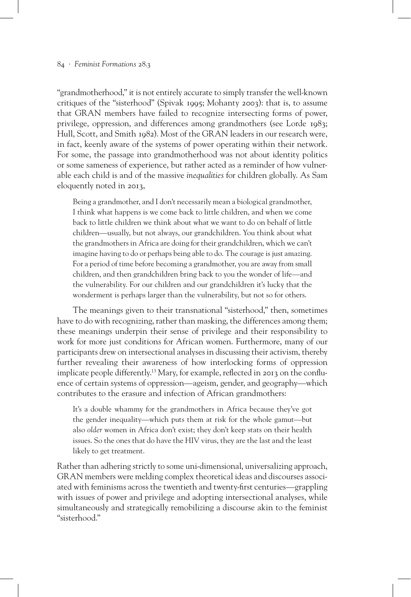"grandmotherhood," it is not entirely accurate to simply transfer the well-known critiques of the "sisterhood" (Spivak 1995; Mohanty 2003): that is, to assume that GRAN members have failed to recognize intersecting forms of power, privilege, oppression, and differences among grandmothers (see Lorde 1983; Hull, Scott, and Smith 1982). Most of the GRAN leaders in our research were, in fact, keenly aware of the systems of power operating within their network. For some, the passage into grandmotherhood was not about identity politics or some sameness of experience, but rather acted as a reminder of how vulnerable each child is and of the massive *inequalities* for children globally. As Sam eloquently noted in 2013,

Being a grandmother, and I don't necessarily mean a biological grandmother, I think what happens is we come back to little children, and when we come back to little children we think about what we want to do on behalf of little children—usually, but not always, our grandchildren. You think about what the grandmothers in Africa are doing for their grandchildren, which we can't imagine having to do or perhaps being able to do. The courage is just amazing. For a period of time before becoming a grandmother, you are away from small children, and then grandchildren bring back to you the wonder of life—and the vulnerability. For our children and our grandchildren it's lucky that the wonderment is perhaps larger than the vulnerability, but not so for others.

The meanings given to their transnational "sisterhood," then, sometimes have to do with recognizing, rather than masking, the differences among them; these meanings underpin their sense of privilege and their responsibility to work for more just conditions for African women. Furthermore, many of our participants drew on intersectional analyses in discussing their activism, thereby further revealing their awareness of how interlocking forms of oppression implicate people differently.13 Mary, for example, reflected in 2013 on the confluence of certain systems of oppression—ageism, gender, and geography—which contributes to the erasure and infection of African grandmothers:

It's a double whammy for the grandmothers in Africa because they've got the gender inequality—which puts them at risk for the whole gamut—but also *older* women in Africa don't exist; they don't keep stats on their health issues. So the ones that do have the HIV virus, they are the last and the least likely to get treatment.

Rather than adhering strictly to some uni-dimensional, universalizing approach, GRAN members were melding complex theoretical ideas and discourses associated with feminisms across the twentieth and twenty-first centuries—grappling with issues of power and privilege and adopting intersectional analyses, while simultaneously and strategically remobilizing a discourse akin to the feminist "sisterhood."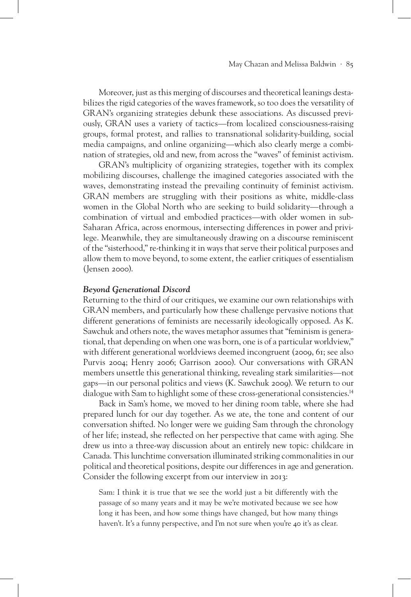Moreover, just as this merging of discourses and theoretical leanings destabilizes the rigid categories of the waves framework, so too does the versatility of GRAN's organizing strategies debunk these associations. As discussed previously, GRAN uses a variety of tactics—from localized consciousness-raising groups, formal protest, and rallies to transnational solidarity-building, social media campaigns, and online organizing—which also clearly merge a combination of strategies, old and new, from across the "waves" of feminist activism.

GRAN's multiplicity of organizing strategies, together with its complex mobilizing discourses, challenge the imagined categories associated with the waves, demonstrating instead the prevailing continuity of feminist activism. GRAN members are struggling with their positions as white, middle-class women in the Global North who are seeking to build solidarity—through a combination of virtual and embodied practices—with older women in sub-Saharan Africa, across enormous, intersecting differences in power and privilege. Meanwhile, they are simultaneously drawing on a discourse reminiscent of the "sisterhood," re-thinking it in ways that serve their political purposes and allow them to move beyond, to some extent, the earlier critiques of essentialism (Jensen 2000).

#### *Beyond Generational Discord*

Returning to the third of our critiques, we examine our own relationships with GRAN members, and particularly how these challenge pervasive notions that different generations of feminists are necessarily ideologically opposed. As K. Sawchuk and others note, the waves metaphor assumes that "feminism is generational, that depending on when one was born, one is of a particular worldview," with different generational worldviews deemed incongruent (2009, 61; see also Purvis 2004; Henry 2006; Garrison 2000). Our conversations with GRAN members unsettle this generational thinking, revealing stark similarities—not gaps—in our personal politics and views (K. Sawchuk 2009). We return to our dialogue with Sam to highlight some of these cross-generational consistencies.<sup>14</sup>

Back in Sam's home, we moved to her dining room table, where she had prepared lunch for our day together. As we ate, the tone and content of our conversation shifted. No longer were we guiding Sam through the chronology of her life; instead, she reflected on her perspective that came with aging. She drew us into a three-way discussion about an entirely new topic: childcare in Canada. This lunchtime conversation illuminated striking commonalities in our political and theoretical positions, despite our differences in age and generation. Consider the following excerpt from our interview in 2013:

Sam: I think it is true that we see the world just a bit differently with the passage of so many years and it may be we're motivated because we see how long it has been, and how some things have changed, but how many things haven't. It's a funny perspective, and I'm not sure when you're 40 it's as clear.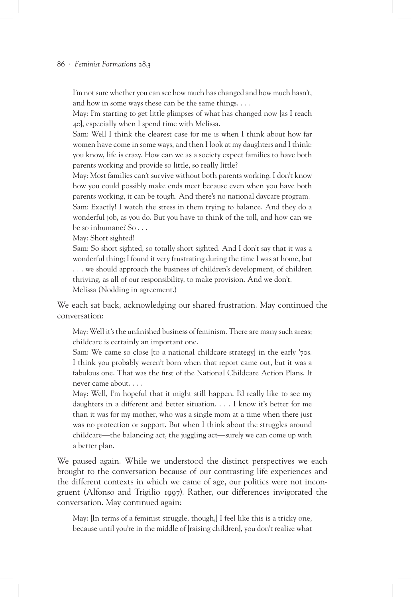I'm not sure whether you can see how much has changed and how much hasn't, and how in some ways these can be the same things. . . .

May: I'm starting to get little glimpses of what has changed now [as I reach 40], especially when I spend time with Melissa.

Sam: Well I think the clearest case for me is when I think about how far women have come in some ways, and then I look at my daughters and I think: you know, life is crazy. How can we as a society expect families to have both parents working and provide so little, so really little?

May: Most families can't survive without both parents working. I don't know how you could possibly make ends meet because even when you have both parents working, it can be tough. And there's no national daycare program. Sam: Exactly! I watch the stress in them trying to balance. And they do a wonderful job, as you do. But you have to think of the toll, and how can we be so inhumane? So . . .

May: Short sighted!

Sam: So short sighted, so totally short sighted. And I don't say that it was a wonderful thing; I found it very frustrating during the time I was at home, but . . . we should approach the business of children's development, of children thriving, as all of our responsibility, to make provision. And we don't. Melissa (Nodding in agreement.)

We each sat back, acknowledging our shared frustration. May continued the conversation:

May: Well it's the unfinished business of feminism. There are many such areas; childcare is certainly an important one.

Sam: We came so close [to a national childcare strategy] in the early '70s. I think you probably weren't born when that report came out, but it was a fabulous one. That was the first of the National Childcare Action Plans. It never came about. . . .

May: Well, I'm hopeful that it might still happen. I'd really like to see my daughters in a different and better situation. . . . I know it's better for me than it was for my mother, who was a single mom at a time when there just was no protection or support. But when I think about the struggles around childcare—the balancing act, the juggling act—surely we can come up with a better plan.

We paused again. While we understood the distinct perspectives we each brought to the conversation because of our contrasting life experiences and the different contexts in which we came of age, our politics were not incongruent (Alfonso and Trigilio 1997). Rather, our differences invigorated the conversation. May continued again:

May: [In terms of a feminist struggle, though,] I feel like this is a tricky one, because until you're in the middle of [raising children], you don't realize what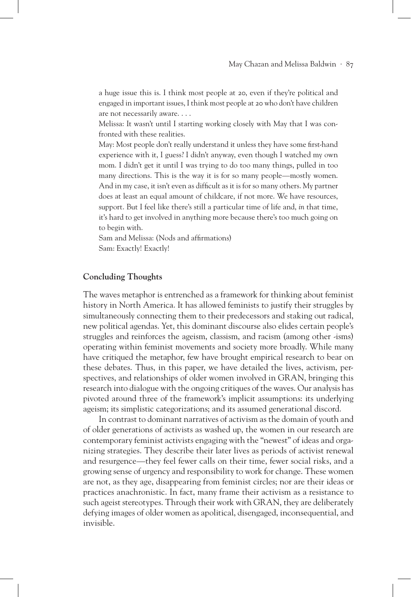a huge issue this is. I think most people at 20, even if they're political and engaged in important issues, I think most people at 20 who don't have children are not necessarily aware. . . .

Melissa: It wasn't until I starting working closely with May that I was confronted with these realities.

May: Most people don't really understand it unless they have some first-hand experience with it, I guess? I didn't anyway, even though I watched my own mom. I didn't get it until I was trying to do too many things, pulled in too many directions. This is the way it is for so many people—mostly women. And in my case, it isn't even as difficult as it is for so many others. My partner does at least an equal amount of childcare, if not more. We have resources, support. But I feel like there's still a particular time of life and, *in* that time, it's hard to get involved in anything more because there's too much going on to begin with.

Sam and Melissa: (Nods and affirmations) Sam: Exactly! Exactly!

# **Concluding Thoughts**

The waves metaphor is entrenched as a framework for thinking about feminist history in North America. It has allowed feminists to justify their struggles by simultaneously connecting them to their predecessors and staking out radical, new political agendas. Yet, this dominant discourse also elides certain people's struggles and reinforces the ageism, classism, and racism (among other -isms) operating within feminist movements and society more broadly. While many have critiqued the metaphor, few have brought empirical research to bear on these debates. Thus, in this paper, we have detailed the lives, activism, perspectives, and relationships of older women involved in GRAN, bringing this research into dialogue with the ongoing critiques of the waves. Our analysis has pivoted around three of the framework's implicit assumptions: its underlying ageism; its simplistic categorizations; and its assumed generational discord.

In contrast to dominant narratives of activism as the domain of youth and of older generations of activists as washed up, the women in our research are contemporary feminist activists engaging with the "newest" of ideas and organizing strategies. They describe their later lives as periods of activist renewal and resurgence—they feel fewer calls on their time, fewer social risks, and a growing sense of urgency and responsibility to work for change. These women are not, as they age, disappearing from feminist circles; nor are their ideas or practices anachronistic. In fact, many frame their activism as a resistance to such ageist stereotypes. Through their work with GRAN, they are deliberately defying images of older women as apolitical, disengaged, inconsequential, and invisible.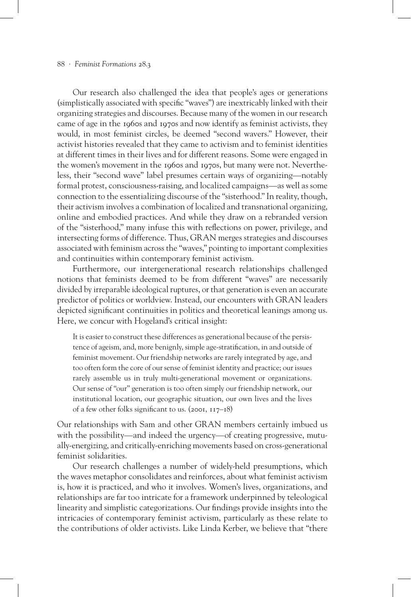#### 88 · *Feminist Formations* 28.3

Our research also challenged the idea that people's ages or generations (simplistically associated with specific "waves") are inextricably linked with their organizing strategies and discourses. Because many of the women in our research came of age in the 1960s and 1970s and now identify as feminist activists, they would, in most feminist circles, be deemed "second wavers." However, their activist histories revealed that they came to activism and to feminist identities at different times in their lives and for different reasons. Some were engaged in the women's movement in the 1960s and 1970s, but many were not. Nevertheless, their "second wave" label presumes certain ways of organizing—notably formal protest, consciousness-raising, and localized campaigns—as well as some connection to the essentializing discourse of the "sisterhood." In reality, though, their activism involves a combination of localized and transnational organizing, online and embodied practices. And while they draw on a rebranded version of the "sisterhood," many infuse this with reflections on power, privilege, and intersecting forms of difference. Thus, GRAN merges strategies and discourses associated with feminism across the "waves," pointing to important complexities and continuities within contemporary feminist activism.

Furthermore, our intergenerational research relationships challenged notions that feminists deemed to be from different "waves" are necessarily divided by irreparable ideological ruptures, or that generation is even an accurate predictor of politics or worldview. Instead, our encounters with GRAN leaders depicted significant continuities in politics and theoretical leanings among us. Here, we concur with Hogeland's critical insight:

It is easier to construct these differences as generational because of the persistence of ageism, and, more benignly, simple age-stratification, in and outside of feminist movement. Our friendship networks are rarely integrated by age, and too often form the core of our sense of feminist identity and practice; our issues rarely assemble us in truly multi-generational movement or organizations. Our sense of "our" generation is too often simply our friendship network, our institutional location, our geographic situation, our own lives and the lives of a few other folks significant to us. (2001, 117–18)

Our relationships with Sam and other GRAN members certainly imbued us with the possibility—and indeed the urgency—of creating progressive, mutually-energizing, and critically-enriching movements based on cross-generational feminist solidarities.

Our research challenges a number of widely-held presumptions, which the waves metaphor consolidates and reinforces, about what feminist activism is, how it is practiced, and who it involves. Women's lives, organizations, and relationships are far too intricate for a framework underpinned by teleological linearity and simplistic categorizations. Our findings provide insights into the intricacies of contemporary feminist activism, particularly as these relate to the contributions of older activists. Like Linda Kerber, we believe that "there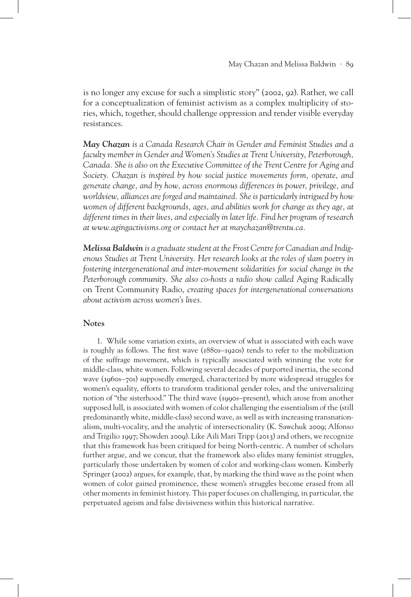is no longer any excuse for such a simplistic story" (2002, 92). Rather, we call for a conceptualization of feminist activism as a complex multiplicity of stories, which, together, should challenge oppression and render visible everyday resistances.

*May Chazan is a Canada Research Chair in Gender and Feminist Studies and a faculty member in Gender and Women's Studies at Trent University, Peterborough, Canada. She is also on the Executive Committee of the Trent Centre for Aging and Society. Chazan is inspired by how social justice movements form, operate, and generate change, and by how, across enormous differences in power, privilege, and worldview, alliances are forged and maintained. She is particularly intrigued by how women of different backgrounds, ages, and abilities work for change as they age, at different times in their lives, and especially in later life. Find her program of research at www.agingactivisms.org or contact her at maychazan@trentu.ca.*

*Melissa Baldwin is a graduate student at the Frost Centre for Canadian and Indigenous Studies at Trent University. Her research looks at the roles of slam poetry in fostering intergenerational and inter-movement solidarities for social change in the*  Peterborough community. She also co-hosts a radio show called Aging Radically on Trent Community Radio*, creating spaces for intergenerational conversations about activism across women's lives.*

#### **Notes**

1. While some variation exists, an overview of what is associated with each wave is roughly as follows. The first wave (1880s–1920s) tends to refer to the mobilization of the suffrage movement, which is typically associated with winning the vote for middle-class, white women. Following several decades of purported inertia, the second wave (1960s–70s) supposedly emerged, characterized by more widespread struggles for women's equality, efforts to transform traditional gender roles, and the universalizing notion of "the sisterhood." The third wave (1990s–present), which arose from another supposed lull, is associated with women of color challenging the essentialism of the (still predominantly white, middle-class) second wave, as well as with increasing transnationalism, multi-vocality, and the analytic of intersectionality (K. Sawchuk 2009; Alfonso and Trigilio 1997; Showden 2009). Like Aili Mari Tripp (2013) and others, we recognize that this framework has been critiqued for being North-centric. A number of scholars further argue, and we concur, that the framework also elides many feminist struggles, particularly those undertaken by women of color and working-class women. Kimberly Springer (2002) argues, for example, that, by marking the third wave as the point when women of color gained prominence, these women's struggles become erased from all other moments in feminist history. This paper focuses on challenging, in particular, the perpetuated ageism and false divisiveness within this historical narrative.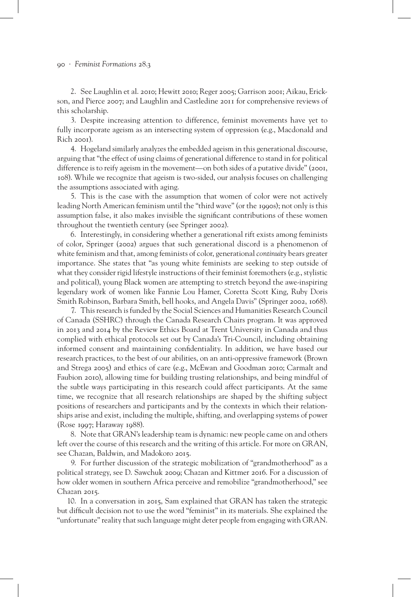2. See Laughlin et al. 2010; Hewitt 2010; Reger 2005; Garrison 2001; Aikau, Erickson, and Pierce 2007; and Laughlin and Castledine 2011 for comprehensive reviews of this scholarship.

3. Despite increasing attention to difference, feminist movements have yet to fully incorporate ageism as an intersecting system of oppression (e.g., Macdonald and Rich 2001).

4. Hogeland similarly analyzes the embedded ageism in this generational discourse, arguing that "the effect of using claims of generational difference to stand in for political difference is to reify ageism in the movement—on both sides of a putative divide" (2001, 108). While we recognize that ageism is two-sided, our analysis focuses on challenging the assumptions associated with aging.

5. This is the case with the assumption that women of color were not actively leading North American feminism until the "third wave" (or the 1990s); not only is this assumption false, it also makes invisible the significant contributions of these women throughout the twentieth century (see Springer 2002).

6. Interestingly, in considering whether a generational rift exists among feminists of color, Springer (2002) argues that such generational discord is a phenomenon of white feminism and that, among feminists of color, generational *continuity* bears greater importance. She states that "as young white feminists are seeking to step outside of what they consider rigid lifestyle instructions of their feminist foremothers (e.g., stylistic and political), young Black women are attempting to stretch beyond the awe-inspiring legendary work of women like Fannie Lou Hamer, Coretta Scott King, Ruby Doris Smith Robinson, Barbara Smith, bell hooks, and Angela Davis" (Springer 2002, 1068).

7. This research is funded by the Social Sciences and Humanities Research Council of Canada (SSHRC) through the Canada Research Chairs program. It was approved in 2013 and 2014 by the Review Ethics Board at Trent University in Canada and thus complied with ethical protocols set out by Canada's Tri-Council, including obtaining informed consent and maintaining confidentiality. In addition, we have based our research practices, to the best of our abilities, on an anti-oppressive framework (Brown and Strega 2005) and ethics of care (e.g., McEwan and Goodman 2010; Carmalt and Faubion 2010), allowing time for building trusting relationships, and being mindful of the subtle ways participating in this research could affect participants. At the same time, we recognize that all research relationships are shaped by the shifting subject positions of researchers and participants and by the contexts in which their relationships arise and exist, including the multiple, shifting, and overlapping systems of power (Rose 1997; Haraway 1988).

8. Note that GRAN's leadership team is dynamic: new people came on and others left over the course of this research and the writing of this article. For more on GRAN, see Chazan, Baldwin, and Madokoro 2015.

9. For further discussion of the strategic mobilization of "grandmotherhood" as a political strategy, see D. Sawchuk 2009; Chazan and Kittmer 2016. For a discussion of how older women in southern Africa perceive and remobilize "grandmotherhood," see Chazan 2015.

10. In a conversation in 2015, Sam explained that GRAN has taken the strategic but difficult decision not to use the word "feminist" in its materials. She explained the "unfortunate" reality that such language might deter people from engaging with GRAN.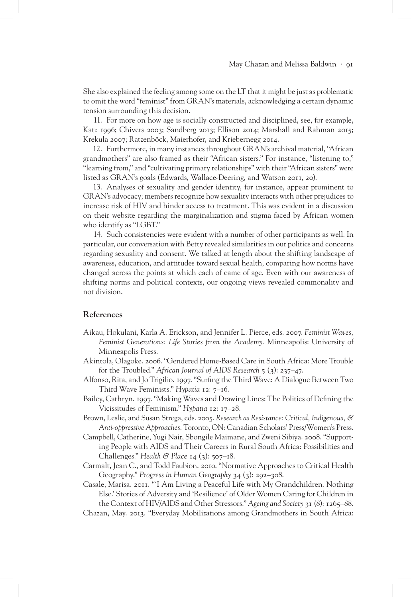She also explained the feeling among some on the LT that it might be just as problematic to omit the word "feminist" from GRAN's materials, acknowledging a certain dynamic tension surrounding this decision.

11. For more on how age is socially constructed and disciplined, see, for example, Katz 1996; Chivers 2003; Sandberg 2013; Ellison 2014; Marshall and Rahman 2015; Krekula 2007; Ratzenböck, Maierhofer, and Kriebernegg 2014.

12. Furthermore, in many instances throughout GRAN's archival material, "African grandmothers" are also framed as their "African sisters." For instance, "listening to," "learning from," and "cultivating primary relationships" with their "African sisters" were listed as GRAN's goals (Edwards, Wallace-Deering, and Watson 2011, 20).

13. Analyses of sexuality and gender identity, for instance, appear prominent to GRAN's advocacy; members recognize how sexuality interacts with other prejudices to increase risk of HIV and hinder access to treatment. This was evident in a discussion on their website regarding the marginalization and stigma faced by African women who identify as "LGBT."

14. Such consistencies were evident with a number of other participants as well. In particular, our conversation with Betty revealed similarities in our politics and concerns regarding sexuality and consent. We talked at length about the shifting landscape of awareness, education, and attitudes toward sexual health, comparing how norms have changed across the points at which each of came of age. Even with our awareness of shifting norms and political contexts, our ongoing views revealed commonality and not division.

### **References**

- Aikau, Hokulani, Karla A. Erickson, and Jennifer L. Pierce, eds. 2007. *Feminist Waves, Feminist Generations: Life Stories from the Academy.* Minneapolis: University of Minneapolis Press.
- Akintola, Olagoke. 2006. "Gendered Home-Based Care in South Africa: More Trouble for the Troubled." *African Journal of AIDS Research* 5 (3): 237–47.
- Alfonso, Rita, and Jo Trigilio. 1997. "Surfing the Third Wave: A Dialogue Between Two Third Wave Feminists." *Hypatia* 12: 7–16.
- Bailey, Cathryn. 1997. "Making Waves and Drawing Lines: The Politics of Defining the Vicissitudes of Feminism." *Hypatia* 12: 17–28.
- Brown, Leslie, and Susan Strega, eds. 2005. *Research as Resistance: Critical, Indigenous, & Anti-oppressive Approaches*. Toronto, ON: Canadian Scholars' Press/Women's Press.
- Campbell, Catherine, Yugi Nair, Sbongile Maimane, and Zweni Sibiya. 2008. "Supporting People with AIDS and Their Careers in Rural South Africa: Possibilities and Challenges." *Health & Place* 14 (3): 507–18.
- Carmalt, Jean C., and Todd Faubion. 2010. "Normative Approaches to Critical Health Geography." *Progress in Human Geography* 34 (3): 292–308.

Casale, Marisa. 2011. "'I Am Living a Peaceful Life with My Grandchildren. Nothing Else.' Stories of Adversity and 'Resilience' of Older Women Caring for Children in the Context of HIV/AIDS and Other Stressors." *Ageing and Society* 31 (8): 1265–88.

Chazan, May. 2013. "Everyday Mobilizations among Grandmothers in South Africa: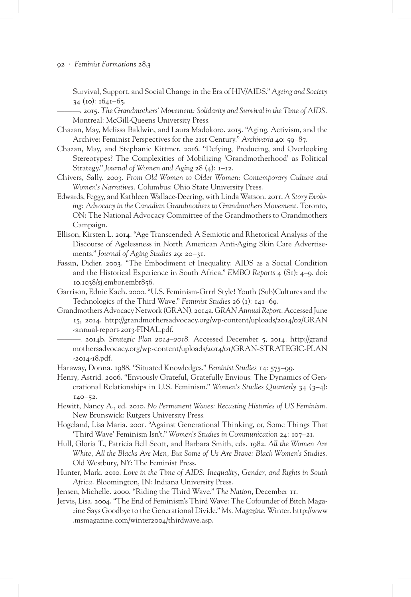Survival, Support, and Social Change in the Era of HIV/AIDS." *Ageing and Society*  34 (10): 1641–65.

———. 2015. *The Grandmothers' Movement: Solidarity and Survival in the Time of AIDS.*  Montreal: McGill-Queens University Press.

- Chazan, May, Melissa Baldwin, and Laura Madokoro. 2015. "Aging, Activism, and the Archive: Feminist Perspectives for the 21st Century." *Archivaria* 40: 59–87.
- Chazan, May, and Stephanie Kittmer. 2016. "Defying, Producing, and Overlooking Stereotypes? The Complexities of Mobilizing 'Grandmotherhood' as Political Strategy." *Journal of Women and Aging* 28 (4): 1–12.
- Chivers, Sally. 2003. *From Old Women to Older Women: Contemporary Culture and Women's Narratives.* Columbus: Ohio State University Press.
- Edwards, Peggy, and Kathleen Wallace-Deering, with Linda Watson. 2011. *A Story Evolving: Advocacy in the Canadian Grandmothers to Grandmothers Movement.* Toronto, ON: The National Advocacy Committee of the Grandmothers to Grandmothers Campaign.
- Ellison, Kirsten L. 2014. "Age Transcended: A Semiotic and Rhetorical Analysis of the Discourse of Agelessness in North American Anti-Aging Skin Care Advertisements." *Journal of Aging Studies* 29: 20–31.
- Fassin, Didier. 2003. "The Embodiment of Inequality: AIDS as a Social Condition and the Historical Experience in South Africa." *EMBO Reports* 4 (S1): 4–9. doi: 10.1038/sj.embor.embr856.
- Garrison, Ednie Kaeh. 2000. "U.S. Feminism-Grrrl Style! Youth (Sub)Cultures and the Technologics of the Third Wave." *Feminist Studies* 26 (1): 141–69.
- Grandmothers Advocacy Network (GRAN). 2014a. *GRAN Annual Report*. Accessed June 15, 2014. http://grandmothersadvocacy.org/wp-content/uploads/2014/02/GRAN -annual-report-2013-FINAL.pdf.
- ———. 2014b. *Strategic Plan 2014–2018.* Accessed December 5, 2014. http://grand mothersadvocacy.org/wp-content/uploads/2014/01/GRAN-STRATEGIC-PLAN -2014-18.pdf.
- Haraway, Donna. 1988. "Situated Knowledges." *Feminist Studies* 14: 575–99.
- Henry, Astrid. 2006. "Enviously Grateful, Gratefully Envious: The Dynamics of Generational Relationships in U.S. Feminism." *Women's Studies Quarterly* 34 (3–4): 140–52.
- Hewitt, Nancy A., ed. 2010. *No Permanent Waves: Recasting Histories of US Feminism.*  New Brunswick: Rutgers University Press.
- Hogeland, Lisa Maria. 2001. "Against Generational Thinking, or, Some Things That 'Third Wave' Feminism Isn't." *Women's Studies in Communication* 24: 107–21.
- Hull, Gloria T., Patricia Bell Scott, and Barbara Smith, eds. 1982. *All the Women Are White, All the Blacks Are Men, But Some of Us Are Brave: Black Women's Studies.*  Old Westbury, NY: The Feminist Press.
- Hunter, Mark. 2010. *Love in the Time of AIDS: Inequality, Gender, and Rights in South Africa*. Bloomington, IN: Indiana University Press.
- Jensen, Michelle. 2000. "Riding the Third Wave." *The Nation*, December 11.
- Jervis, Lisa. 2004. "The End of Feminism's Third Wave: The Cofounder of Bitch Magazine Says Goodbye to the Generational Divide." *Ms. Magazine*, Winter. http://www .msmagazine.com/winter2004/thirdwave.asp.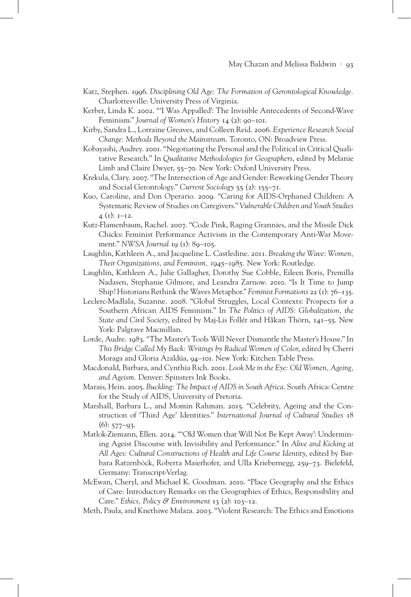- Katz, Stephen. 1996. *Disciplining Old Age: The Formation of Gerontological Knowledge.*  Charlottesville: University Press of Virginia.
- Kerber, Linda K. 2002. "'I Was Appalled': The Invisible Antecedents of Second-Wave Feminism." *Journal of Women's History* 14 (2): 90–101.
- Kirby, Sandra L., Lorraine Greaves, and Colleen Reid. 2006. *Experience Research Social Change: Methods Beyond the Mainstream*. Toronto, ON: Broadview Press.
- Kobayashi, Audrey. 2001. "Negotiating the Personal and the Political in Critical Qualitative Research." In *Qualitative Methodologies for Geographers*, edited by Melanie Limb and Claire Dwyer, 55–70. New York: Oxford University Press.
- Krekula, Clary. 2007. "The Intersection of Age and Gender: Reworking Gender Theory and Social Gerontology." *Current Sociology* 55 (2): 155–71.
- Kuo, Caroline, and Don Operario. 2009. "Caring for AIDS-Orphaned Children: A Systematic Review of Studies on Caregivers." *Vulnerable Children and Youth Studies*  $4$  (1): 1–12.
- Kutz-Flamenbaum, Rachel. 2007. "Code Pink, Raging Grannies, and the Missile Dick Chicks: Feminist Performance Activism in the Contemporary Anti-War Movement." *NWSA Journal* 19 (1): 89–105.
- Laughlin, Kathleen A., and Jacqueline L. Castledine. 2011. *Breaking the Wave: Women, Their Organizations, and Feminism, 1945–1985.* New York: Routledge.
- Laughlin, Kathleen A., Julie Gallagher, Dorothy Sue Cobble, Eileen Boris, Premilla Nadasen, Stephanie Gilmore, and Leandra Zarnow. 2010. "Is It Time to Jump Ship? Historians Rethink the Waves Metaphor." *Feminist Formations* 22 (1): 76–135.
- Leclerc-Madlala, Suzanne. 2008. "Global Struggles, Local Contexts: Prospects for a Southern African AIDS Feminism." In *The Politics of AIDS: Globalization, the State and Civil Society*, edited by Maj-Lis Follér and Håkan Thörn, 141–55. New York: Palgrave Macmillan.
- Lorde, Audre. 1983. "The Master's Tools Will Never Dismantle the Master's House." In *This Bridge Called My Back: Writings by Radical Women of Color*, edited by Cherri Moraga and Gloria Azaldúa, 94–101. New York: Kitchen Table Press.
- Macdonald, Barbara, and Cynthia Rich. 2001. *Look Me in the Eye: Old Women, Ageing, and Ageism.* Denver: Spinsters Ink Books.
- Marais, Hein. 2005. *Buckling: The Impact of AIDS in South Africa*. South Africa: Centre for the Study of AIDS, University of Pretoria.
- Marshall, Barbara L., and Momin Rahman. 2015. "Celebrity, Ageing and the Construction of 'Third Age' Identities." *International Journal of Cultural Studies* 18  $(6)$ : 577–93.
- Matlok-Ziemann, Ellen. 2014. "'Old Women that Will Not Be Kept Away': Undermining Ageist Discourse with Invisibility and Performance." In *Alive and Kicking at All Ages: Cultural Constructions of Health and Life Course Identity*, edited by Barbara Ratzenböck, Roberta Maierhofer, and Ulla Kriebernegg, 259–73*.* Bielefeld, Germany: Transcript-Verlag.
- McEwan, Cheryl, and Michael K. Goodman. 2010. "Place Geography and the Ethics of Care: Introductory Remarks on the Geographies of Ethics, Responsibility and Care." *Ethics, Policy & Environment* 13 (2): 103–12.
- Meth, Paula, and Knethiwe Malaza. 2003. "Violent Research: The Ethics and Emotions